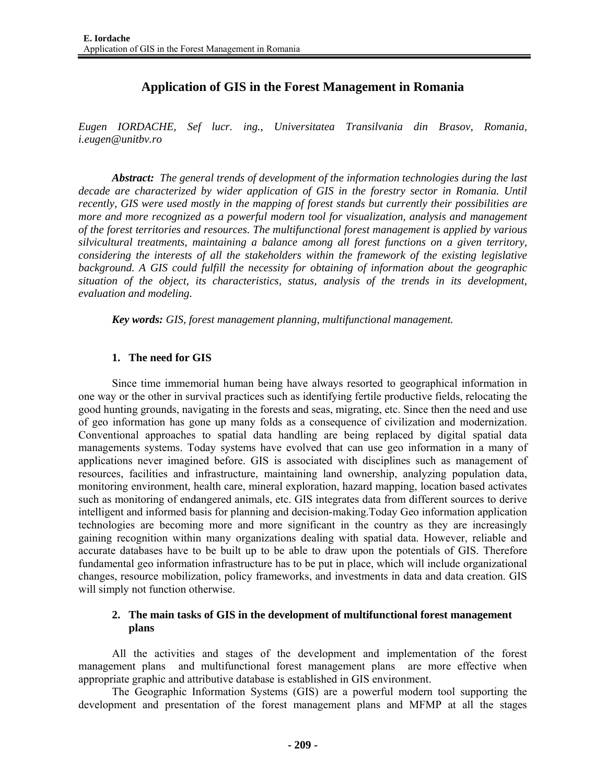# **Application of GIS in the Forest Management in Romania**

*Eugen IORDACHE, Sef lucr. ing., Universitatea Transilvania din Brasov, Romania, i.eugen@unitbv.ro* 

*Abstract: The general trends of development of the information technologies during the last decade are characterized by wider application of GIS in the forestry sector in Romania. Until recently, GIS were used mostly in the mapping of forest stands but currently their possibilities are more and more recognized as a powerful modern tool for visualization, analysis and management of the forest territories and resources. The multifunctional forest management is applied by various silvicultural treatments, maintaining a balance among all forest functions on a given territory, considering the interests of all the stakeholders within the framework of the existing legislative background. A GIS could fulfill the necessity for obtaining of information about the geographic situation of the object, its characteristics, status, analysis of the trends in its development, evaluation and modeling.* 

*Key words: GIS, forest management planning, multifunctional management.* 

### **1. The need for GIS**

Since time immemorial human being have always resorted to geographical information in one way or the other in survival practices such as identifying fertile productive fields, relocating the good hunting grounds, navigating in the forests and seas, migrating, etc. Since then the need and use of geo information has gone up many folds as a consequence of civilization and modernization. Conventional approaches to spatial data handling are being replaced by digital spatial data managements systems. Today systems have evolved that can use geo information in a many of applications never imagined before. GIS is associated with disciplines such as management of resources, facilities and infrastructure, maintaining land ownership, analyzing population data, monitoring environment, health care, mineral exploration, hazard mapping, location based activates such as monitoring of endangered animals, etc. GIS integrates data from different sources to derive intelligent and informed basis for planning and decision-making.Today Geo information application technologies are becoming more and more significant in the country as they are increasingly gaining recognition within many organizations dealing with spatial data. However, reliable and accurate databases have to be built up to be able to draw upon the potentials of GIS. Therefore fundamental geo information infrastructure has to be put in place, which will include organizational changes, resource mobilization, policy frameworks, and investments in data and data creation. GIS will simply not function otherwise.

### **2. The main tasks of GIS in the development of multifunctional forest management plans**

All the activities and stages of the development and implementation of the forest management plans and multifunctional forest management plans are more effective when appropriate graphic and attributive database is established in GIS environment.

The Geographic Information Systems (GIS) are a powerful modern tool supporting the development and presentation of the forest management plans and MFMP at all the stages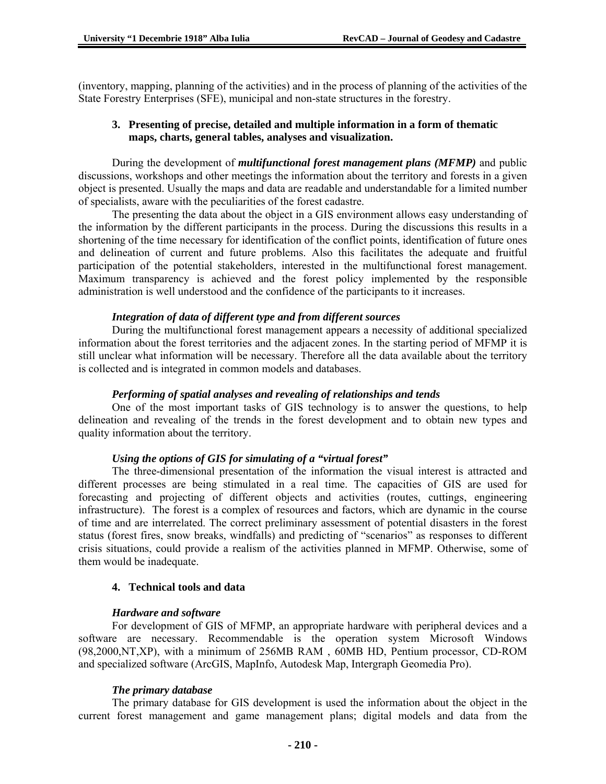(inventory, mapping, planning of the activities) and in the process of planning of the activities of the State Forestry Enterprises (SFE), municipal and non-state structures in the forestry.

### **3. Presenting of precise, detailed and multiple information in a form of thematic maps, charts, general tables, analyses and visualization.**

During the development of *multifunctional forest management plans (MFMP)* and public discussions, workshops and other meetings the information about the territory and forests in a given object is presented. Usually the maps and data are readable and understandable for a limited number of specialists, aware with the peculiarities of the forest cadastre.

The presenting the data about the object in a GIS environment allows easy understanding of the information by the different participants in the process. During the discussions this results in a shortening of the time necessary for identification of the conflict points, identification of future ones and delineation of current and future problems. Also this facilitates the adequate and fruitful participation of the potential stakeholders, interested in the multifunctional forest management. Maximum transparency is achieved and the forest policy implemented by the responsible administration is well understood and the confidence of the participants to it increases.

#### *Integration of data of different type and from different sources*

During the multifunctional forest management appears a necessity of additional specialized information about the forest territories and the adjacent zones. In the starting period of MFMP it is still unclear what information will be necessary. Therefore all the data available about the territory is collected and is integrated in common models and databases.

### *Performing of spatial analyses and revealing of relationships and tends*

One of the most important tasks of GIS technology is to answer the questions, to help delineation and revealing of the trends in the forest development and to obtain new types and quality information about the territory.

#### *Using the options of GIS for simulating of a "virtual forest"*

The three-dimensional presentation of the information the visual interest is attracted and different processes are being stimulated in a real time. The capacities of GIS are used for forecasting and projecting of different objects and activities (routes, cuttings, engineering infrastructure). The forest is a complex of resources and factors, which are dynamic in the course of time and are interrelated. The correct preliminary assessment of potential disasters in the forest status (forest fires, snow breaks, windfalls) and predicting of "scenarios" as responses to different crisis situations, could provide a realism of the activities planned in MFMP. Otherwise, some of them would be inadequate.

### **4. Technical tools and data**

#### *Hardware and software*

For development of GIS of MFMP, an appropriate hardware with peripheral devices and a software are necessary. Recommendable is the operation system Microsoft Windows (98,2000,NT,XP), with a minimum of 256MB RAM , 60MB HD, Pentium processor, CD-ROM and specialized software (ArcGIS, MapInfo, Autodesk Map, Intergraph Geomedia Pro).

#### *The primary database*

The primary database for GIS development is used the information about the object in the current forest management and game management plans; digital models and data from the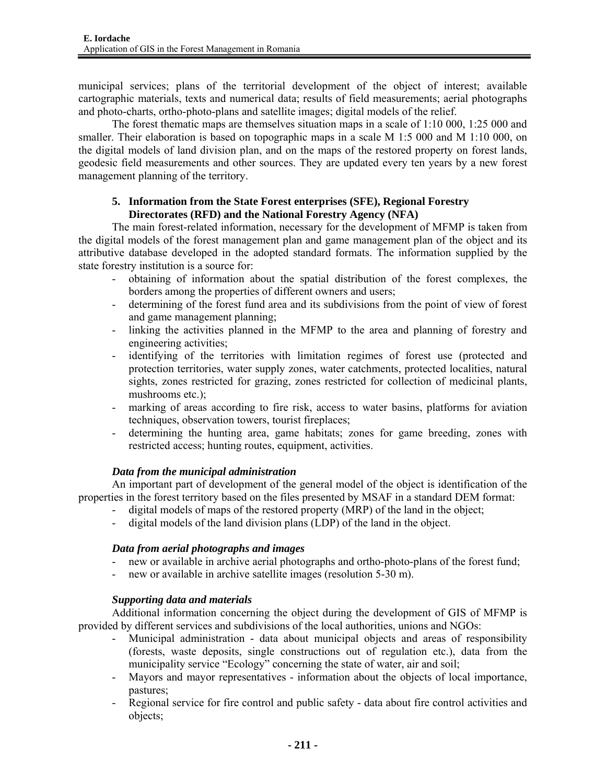municipal services; plans of the territorial development of the object of interest; available cartographic materials, texts and numerical data; results of field measurements; aerial photographs and photo-charts, ortho-photo-plans and satellite images; digital models of the relief.

The forest thematic maps are themselves situation maps in a scale of 1:10 000, 1:25 000 and smaller. Their elaboration is based on topographic maps in a scale M 1:5 000 and M 1:10 000, on the digital models of land division plan, and on the maps of the restored property on forest lands, geodesic field measurements and other sources. They are updated every ten years by a new forest management planning of the territory.

# **5. Information from the State Forest enterprises (SFE), Regional Forestry Directorates (RFD) and the National Forestry Agency (NFA)**

The main forest-related information, necessary for the development of MFMP is taken from the digital models of the forest management plan and game management plan of the object and its attributive database developed in the adopted standard formats. The information supplied by the state forestry institution is a source for:

- obtaining of information about the spatial distribution of the forest complexes, the borders among the properties of different owners and users;
- determining of the forest fund area and its subdivisions from the point of view of forest and game management planning;
- linking the activities planned in the MFMP to the area and planning of forestry and engineering activities;
- identifying of the territories with limitation regimes of forest use (protected and protection territories, water supply zones, water catchments, protected localities, natural sights, zones restricted for grazing, zones restricted for collection of medicinal plants, mushrooms etc.);
- marking of areas according to fire risk, access to water basins, platforms for aviation techniques, observation towers, tourist fireplaces;
- determining the hunting area, game habitats; zones for game breeding, zones with restricted access; hunting routes, equipment, activities.

# *Data from the municipal administration*

An important part of development of the general model of the object is identification of the properties in the forest territory based on the files presented by MSAF in a standard DEM format:

- digital models of maps of the restored property (MRP) of the land in the object;
- digital models of the land division plans (LDP) of the land in the object.

# *Data from aerial photographs and images*

- new or available in archive aerial photographs and ortho-photo-plans of the forest fund;
- new or available in archive satellite images (resolution 5-30 m).

# *Supporting data and materials*

Additional information concerning the object during the development of GIS of MFMP is provided by different services and subdivisions of the local authorities, unions and NGOs:

- Municipal administration data about municipal objects and areas of responsibility (forests, waste deposits, single constructions out of regulation etc.), data from the municipality service "Ecology" concerning the state of water, air and soil;
- Mayors and mayor representatives information about the objects of local importance, pastures;
- Regional service for fire control and public safety data about fire control activities and objects;